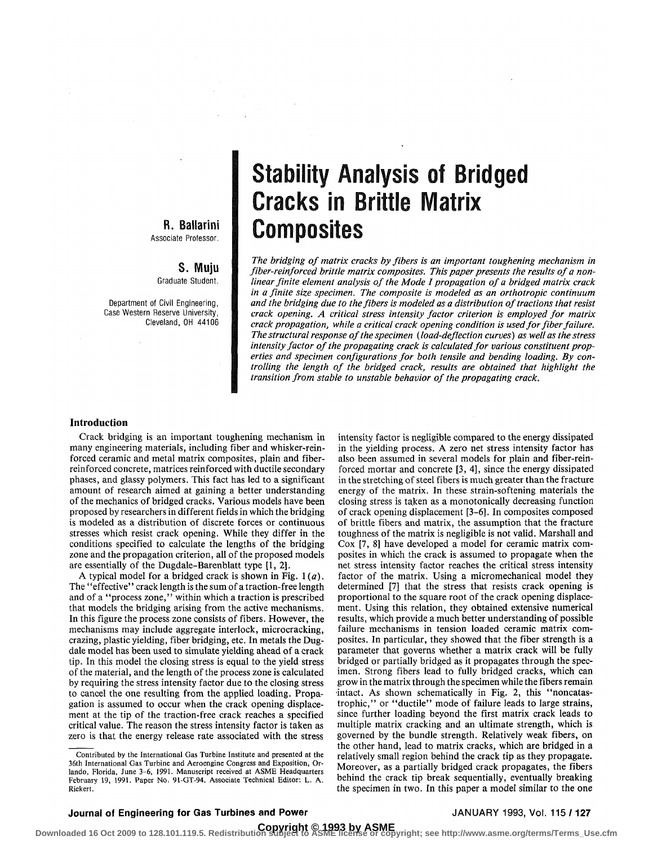# R. Ballarini Associate Professor.

**S. Muju**  Graduate Student.

Department of Civil Engineering, Case Western Reserve University, Cleveland, OH 44106

# Stability Analysis of Bridged Cracks in Brittle Matrix Composites

*The bridging of matrix cracks by fibers is an important toughening mechanism in fiber-reinforced brittle matrix composites. This paper presents the results of a nonlinear finite element analysis of the Mode I propagation of a bridged matrix crack in a finite size specimen. The composite is modeled as an orthotropic continuum and the bridging due to the fibers is modeled as a distribution of tractions that resist crack opening. A critical stress intensity factor criterion is employed for matrix crack propagation, while a critical crack opening condition is used for fiber failure. The structural response of the specimen (load-deflection curves) as well as the stress intensity factor of the propagating crack is calculated for various constituent properties and specimen configurations for both tensile and bending loading. By controlling the length of the bridged crack, results are obtained that highlight the transition from stable to unstable behavior of the propagating crack.* 

### **Introduction**

Crack bridging is an important toughening mechanism in many engineering materials, including fiber and whisker-reinforced ceramic and metal matrix composites, plain and fiberreinforced concrete, matrices reinforced with ductile secondary phases, and glassy polymers. This fact has led to a significant amount of research aimed at gaining a better understanding of the mechanics of bridged cracks. Various models have been proposed by researchers in different fields in which the bridging is modeled as a distribution of discrete forces or continuous stresses which resist crack opening. While they differ in the conditions specified to calculate the lengths of the bridging zone and the propagation criterion, all of the proposed models are essentially of the Dugdale-Barenblatt type [1, 2].

A typical model for a bridged crack is shown in Fig. 1 *(a).*  The "effective'' crack length is the sum of a traction-free length and of a "process zone," within which a traction is prescribed that models the bridging arising from the active mechanisms. In this figure the process zone consists of fibers. However, the mechanisms may include aggregate interlock, microcracking, crazing, plastic yielding, fiber bridging, etc. In metals the Dugdale model has been used to simulate yielding ahead of a crack tip. In this model the closing stress is equal to the yield stress of the material, and the length of the process zone is calculated by requiring the stress intensity factor due to the closing stress to cancel the one resulting from the applied loading. Propagation is assumed to occur when the crack opening displacement at the tip of the traction-free crack reaches a specified critical value. The reason the stress intensity factor is taken as zero is that the energy release rate associated with the stress

intensity factor is negligible compared to the energy dissipated in the yielding process. A zero net stress intensity factor has also been assumed in several models for plain and fiber-reinforced mortar and concrete [3, 4], since the energy dissipated in the stretching of steel fibers is much greater than the fracture energy of the matrix. In these strain-softening materials the closing stress is taken as a monotonically decreasing function of crack opening displacement [3-6]. In composites composed of brittle fibers and matrix, the assumption that the fracture toughness of the matrix is negligible is not valid. Marshall and Cox [7, 8] have developed a model for ceramic matrix composites in which the crack is assumed to propagate when the net stress intensity factor reaches the critical stress intensity factor of the matrix. Using a micromechanical model they determined [7] that the stress that resists crack opening is proportional to the square root of the crack opening displacement. Using this relation, they obtained extensive numerical results, which provide a much better understanding of possible failure mechanisms in tension loaded ceramic matrix composites. In particular, they showed that the fiber strength is a parameter that governs whether a matrix crack will be fully bridged or partially bridged as it propagates through the specimen. Strong fibers lead to fully bridged cracks, which can grow in the matrix through the specimen while the fibers remain intact. As shown schematically in Fig. 2, this "noncatastrophic," or "ductile" mode of failure leads to large strains, since further loading beyond the first matrix crack leads to multiple matrix cracking and an ultimate strength, which is governed by the bundle strength. Relatively weak fibers, on the other hand, lead to matrix cracks, which are bridged in a relatively small region behind the crack tip as they propagate. Moreover, as a partially bridged crack propagates, the fibers behind the crack tip break sequentially, eventually breaking the specimen in two. In this paper a model similar to the one

# **Journal of Engineering for Gas Turbines and Power JANUARY 1993, Vol. 115 / 127**

Contributed by the International Gas Turbine Institute and presented at the 36th International Gas Turbine and Aeroengine Congress and Exposition, Orlando, Florida, June 3-6, 1991. Manuscript received at ASME Headquarters February 19, 1991. Paper No. 91-GT-94. Associate Technical Editor: L. A. Riekert.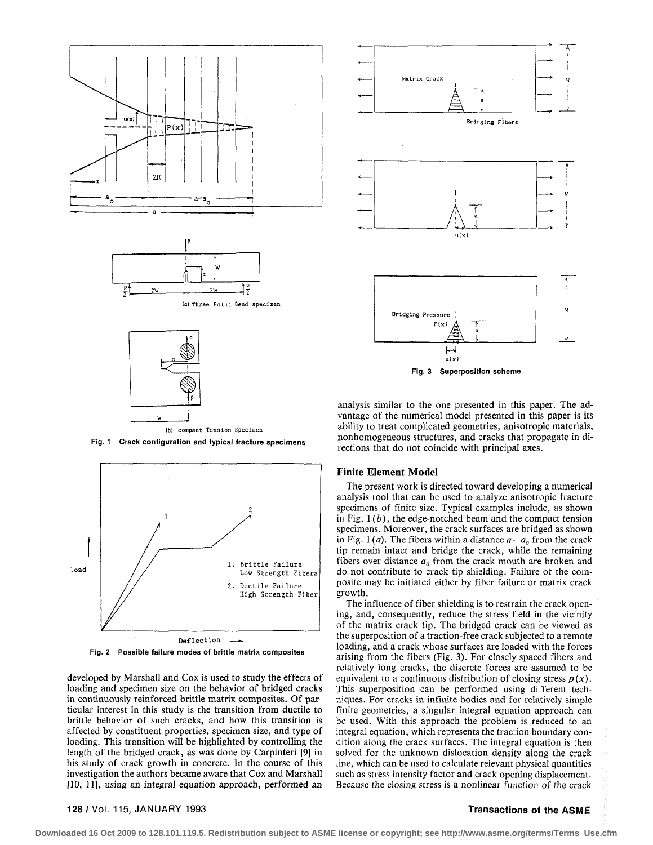

{b) compact Tension Specimen







developed by Marshall and Cox is used to study the effects of loading and specimen size on the behavior of bridged cracks in continuously reinforced brittle matrix composites. Of particular interest in this study is the transition from ductile to brittle behavior of such cracks, and how this transition is affected by constituent properties, specimen size, and type of loading. This transition will be highlighted by controlling the length of the bridged crack, as was done by Carpinteri [9] in his study of crack growth in concrete. In the course of this investigation the authors became aware that Cox and Marshall [10, 11], using an integral equation approach, performed an



analysis similar to the one presented in this paper. The advantage of the numerical model presented in this paper is its ability to treat complicated geometries, anisotropic materials, nonhomogeneous structures, and cracks that propagate in directions that do not coincide with principal axes.

### **Finite Element Model**

The present work is directed toward developing a numerical analysis tool that can be used to analyze anisotropic fracture specimens of finite size. Typical examples include, as shown in Fig. *1(b),* the edge-notched beam and the compact tension specimens. Moreover, the crack surfaces are bridged as shown in Fig. 1(*a*). The fibers within a distance  $a - a<sub>o</sub>$  from the crack tip remain intact and bridge the crack, while the remaining fibers over distance  $a<sub>o</sub>$  from the crack mouth are broken and do not contribute to crack tip shielding. Failure of the composite may be initiated either by fiber failure or matrix crack growth.

The influence of fiber shielding is to restrain the crack opening, and, consequently, reduce the stress field in the vicinity of the matrix crack tip. The bridged crack can be viewed as the superposition of a traction-free crack subjected to a remote loading, and a crack whose surfaces are loaded with the forces arising from the fibers (Fig. 3). For closely spaced fibers and relatively long cracks, the discrete forces are assumed to be equivalent to a continuous distribution of closing stress  $p(x)$ . This superposition can be performed using different techniques. For cracks in infinite bodies and for relatively simple finite geometries, a singular integral equation approach can be used. With this approach the problem is reduced to an integral equation, which represents the traction boundary condition along the crack surfaces. The integral equation is then solved for the unknown dislocation density along the crack line, which can be used to calculate relevant physical quantities such as stress intensity factor and crack opening displacement. Because the closing stress is a nonlinear function of the crack

# 128/Vol. 115, JANUARY 1993 Transactions of the ASME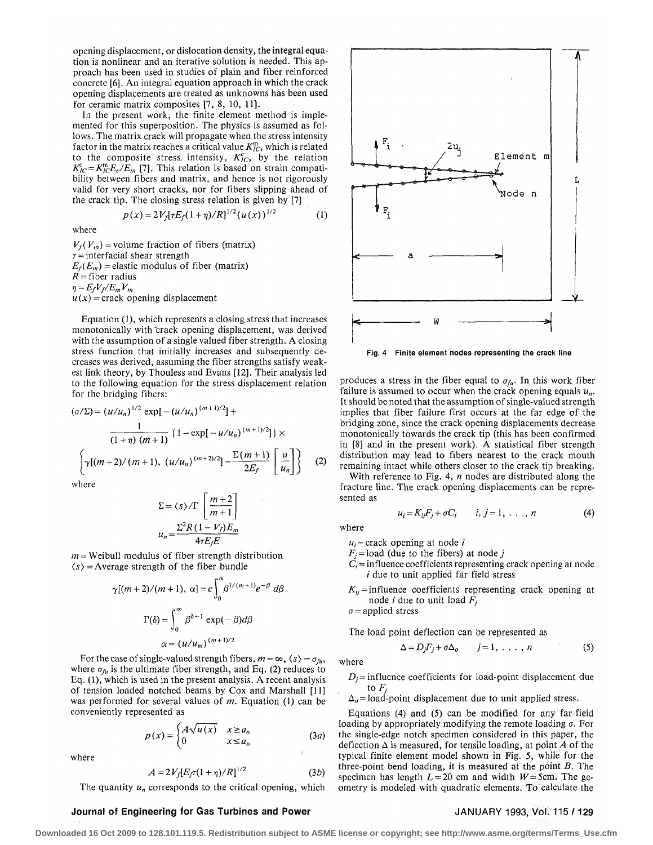opening displacement, or dislocation density, the integral equation is nonlinear and an iterative solution is needed. This approach has been used in studies of plain and fiber reinforced concrete [6]. An integral equation approach in which the crack opening displacements are treated as unknowns has been used for ceramic matrix composites [7, 8, 10, 11].

In the present work, the finite element method is implemented for this superposition. The physics is assumed as follows. The matrix crack will propagate when the stress intensity factor in the matrix reaches a critical value  $K_{IC}^m$ , which is related to the composite stress, intensity,  $K_{IC}^c$ , by the relation  $K_{IC}^c = K_{IC}^m E_c / E_m$  [7]. This relation is based on strain compatibility between fibers and matrix, and hence is not rigorously valid for very short cracks, nor for fibers slipping ahead of the crack tip. The closing stress relation is given by [7]

$$
p(x) = 2V_f[\tau E_f(1+\eta)/R]^{1/2}(u(x))^{1/2}
$$
 (1)

where

 $V_f(V_m)$  = volume fraction of fibers (matrix)  $\tau$  = interfacial shear strength  $E_f(E_m)$  = elastic modulus of fiber (matrix)  $\overrightarrow{R}$  = fiber radius  $\eta = E_f V_f / E_m V_m$  $u(x)$  = crack opening displacement

Equation (1), which represents a closing stress that increases monotonically with "crack opening displacement, was derived with the assumption of a single valued fiber strength. A closing stress function that initially increases and subsequently decreases was derived, assuming the fiber strengths satisfy weakest link theory, by Thouless and Evans [12]. Their analysis led to the following equation for the stress displacement relation for the bridging fibers:

$$
(\sigma/\Sigma) = (u/u_n)^{1/2} \exp[-(u/u_n)^{(m+1)/2}] +
$$
  
\n
$$
\frac{1}{(1+\eta)(m+1)} \{1 - \exp[-u/u_n)^{(m+1)/2}]\} \times
$$
  
\n
$$
\left\{\gamma[(m+2)/(m+1), (u/u_n)^{(m+2)/2}] - \frac{\Sigma(m+1)}{2E_f} \left[\frac{u}{u_n}\right]\right\} (2)
$$

where

$$
\Sigma = \langle s \rangle / \Gamma \left[ \frac{m+2}{m+1} \right]
$$

$$
u_n = \frac{\Sigma^2 R (1 - V_f) E_m}{4 \tau E_f E}
$$

 $m =$  Weibull modulus of fiber strength distribution  $\langle s \rangle$  = Average strength of the fiber bundle

$$
\gamma[(m+2)/(m+1), \alpha] = c \int_0^{\alpha} \beta^{1/(m+1)} e^{-\beta} d\beta
$$

$$
\Gamma(\delta) = \int_0^{\infty} \beta^{\delta+1} \exp(-\beta) d\beta
$$

$$
\alpha = (u/u_m)^{(m+1)/2}
$$

For the case of single-valued strength fibers,  $m = \infty$ ,  $\langle s \rangle = \sigma_{f\mu}$ , where  $\sigma_{f\mu}$  is the ultimate fiber strength, and Eq. (2) reduces to Eq. (1), which is used in the present analysis. A recent analysis of tension loaded notched beams by Cox and Marshall [11] was performed for several values of *m.* Equation (1) can be conveniently represented as

$$
p(x) = \begin{cases} A\sqrt{u(x)} & x \ge a_o \\ 0 & x \le a_o \end{cases} \tag{3a}
$$

where

$$
A = 2V_f[E_f \tau (1 + \eta)/R]^{1/2}
$$
 (3b)

The quantity  $u_n$  corresponds to the critical opening, which

### Journal of Engineering for Gas Turbines and Power **JANUARY 1993, Vol. 115 / 129**



Fig. 4 Finite element nodes representing the crack line

produces a stress in the fiber equal to  $\sigma_{f\mu}$ . In this work fiber failure is assumed to occur when the crack opening equals  $u_n$ . It should be noted that the assumption of single-valued strength implies that fiber failure first occurs at the far edge of the bridging zone, since the crack opening displacements decrease monotonically towards the crack tip (this has been confirmed in [8] and in the present work). A statistical fiber strength distribution may lead to fibers nearest to the crack mouth remaining intact while others closer to the crack tip breaking.

With reference to Fig. 4, *n* nodes are distributed along the fracture line. The crack opening displacements can be represented as

$$
u_i = K_{ij}F_j + \sigma C_i \qquad i, j = 1, \ldots, n \qquad (4)
$$

where

where

 $u_i$  = crack opening at node *i* 

 $F_i$  = load (due to the fibers) at node *j* 

- $C_i$  = influence coefficients representing crack opening at node  $i$  due to unit applied far field stress
- $K_{ij}$ = influence coefficients representing crack opening at node *i* due to unit load  $F_i$

*a=* applied stress

The load point deflection can be represented as

$$
\Delta = D_j F_j + \sigma \Delta_o \qquad j = 1, \ldots, n \tag{5}
$$

 $D_i$  = influence coefficients for load-point displacement due to  $F_i$ 

 $\Delta_{0}$  = load-point displacement due to unit applied stress.

Equations (4) and (5) can be modified for any far-field loading by appropriately modifying the remote loading *a.* For the single-edge notch specimen considered in this paper, the deflection  $\Delta$  is measured, for tensile loading, at point A of the typical finite element model shown in Fig. 5, while for the three-point bend loading, it is measured at the point *B.* The specimen has length  $L = 20$  cm and width  $W = 5$ cm. The geometry is modeled with quadratic elements. To calculate the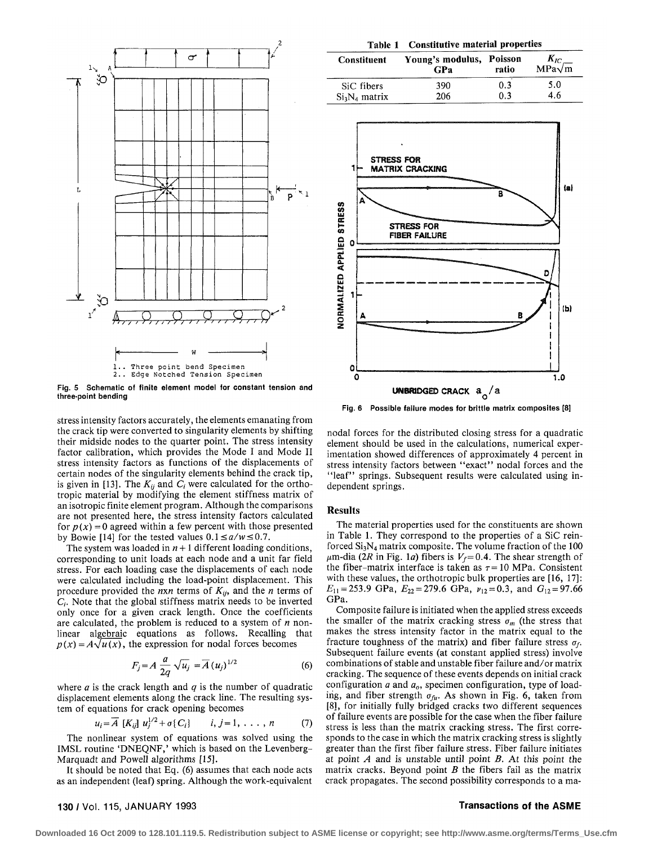

Fig. 5 Schematic of finite element model for constant tension and three-point bending

stress intensity factors accurately, the elements emanating from the crack tip were converted to singularity elements by shifting their midside nodes to the quarter point. The stress intensity factor calibration, which provides the Mode I and Mode II stress intensity factors as functions of the displacements of certain nodes of the singularity elements behind the crack tip, is given in [13]. The  $K_{ij}$  and  $C_i$  were calculated for the orthotropic material by modifying the element stiffness matrix of an isotropic finite element program. Although the comparisons are not presented here, the stress intensity factors calculated for  $p(x) = 0$  agreed within a few percent with those presented by Bowie [14] for the tested values  $0.1 \le a/w \le 0.7$ .

The system was loaded in  $n + 1$  different loading conditions, corresponding to unit loads at each node and a unit far field stress. For each loading case the displacements of each node were calculated including the load-point displacement. This procedure provided the  $n \times n$  terms of  $K_{ij}$ , and the *n* terms of *Q.* Note that the global stiffness matrix needs to be inverted only once for a given crack length. Once the coefficients are calculated, the problem is reduced to a system of *n* nonlinear algebraic equations as follows. Recalling that  $p(x) = A\sqrt{u(x)}$ , the expression for nodal forces becomes

$$
F_j = A \frac{a}{2q} \sqrt{u_j} = \overline{A} (u_j)^{1/2}
$$
 (6)

where *a* is the crack length and *q* is the number of quadratic displacement elements along the crack line. The resulting system of equations for crack opening becomes

$$
u_i = \overline{A} [K_{ij}] u_j^{1/2} + \sigma(C_i) \qquad i, j = 1, \ldots, n \qquad (7)
$$

The nonlinear system of equations was solved using the IMSL routine 'DNEQNF,' which is based on the Levenberg-Marquadt and Powell algorithms [15].

It should be noted that Eq. (6) assumes that each node acts as an independent (leaf) spring. Although the work-equivalent

| Table 1 Constitutive material properties |                                        |       |                         |
|------------------------------------------|----------------------------------------|-------|-------------------------|
| <b>Constituent</b>                       | Young's modulus, Poisson<br><b>GPa</b> | ratio | $K_{IC}$ MPa $\sqrt{m}$ |
| SiC fibers                               | 390                                    | 0.3   | 5.0                     |
| $Si3N4$ matrix                           | 206                                    | 0.3   | 4.6                     |



Fig. 6 Possible failure modes for brittle matrix composites [8]

nodal forces for the distributed closing stress for a quadratic element should be used in the calculations, numerical experimentation showed differences of approximately 4 percent in stress intensity factors between "exact" nodal forces and the "leaf" springs. Subsequent results were calculated using independent springs.

### **Results**

The material properties used for the constituents are shown in Table 1. They correspond to the properties of a SiC reinforced  $Si<sub>3</sub>N<sub>4</sub>$  matrix composite. The volume fraction of the 100  $\mu$ m-dia (2R in Fig. 1*a*) fibers is  $V_f$ =0.4. The shear strength of the fiber-matrix interface is taken as  $\tau = 10$  MPa. Consistent with these values, the orthotropic bulk properties are [16, 17]:  $E_{11} = 253.9 \text{ GPa}, E_{22} = 279.6 \text{ GPa}, \nu_{12} = 0.3, \text{ and } G_{12} = 97.66$ GPa.

Composite failure is initiated when the applied stress exceeds the smaller of the matrix cracking stress  $\sigma_m$  (the stress that makes the stress intensity factor in the matrix equal to the fracture toughness of the matrix) and fiber failure stress  $\sigma_f$ . Subsequent failure events (at constant applied stress) involve combinations of stable and unstable fiber failure and/or matrix cracking. The sequence of these events depends on initial crack configuration  $\alpha$  and  $\alpha$ <sup>0</sup>, specimen configuration, type of loading, and fiber strength  $\sigma_{\theta\theta}$ . As shown in Fig. 6, taken from [8], for initially fully bridged cracks two different sequences of failure events are possible for the case when the fiber failure stress is less than the matrix cracking stress. The first corresponds to the case in which the matrix cracking stress is slightly greater than the first fiber failure stress. Fiber failure initiates at point *A* and is unstable until point *B.* At this point the matrix cracks. Beyond point *B* the fibers fail as the matrix crack propagates. The second possibility corresponds to a ma-

### 130/Vol. 115, JANUARY 1993 Transactions of the ASME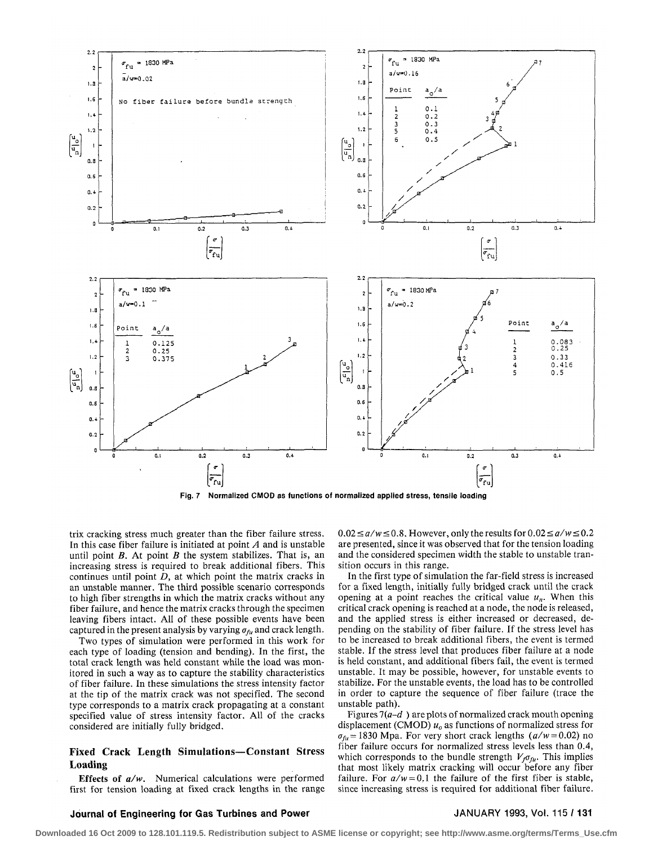

trix cracking stress much greater than the fiber failure stress. In this case fiber failure is initiated at point *A* and is unstable until point *B.* At point *B* the system stabilizes. That is, an increasing stress is required to break additional fibers. This continues until point *D,* at which point the matrix cracks in an unstable manner. The third possible scenario corresponds to high fiber strengths in which the matrix cracks without any fiber failure, and hence the matrix cracks through the specimen leaving fibers intact. All of these possible events have been captured in the present analysis by varying  $\sigma_{fu}$  and crack length.

Two types of simulation were performed in this work for each type of loading (tension and bending). In the first, the total crack length was held constant while the load was monitored in such a way as to capture the stability characteristics of fiber failure. In these simulations the stress intensity factor at the tip of the matrix crack was not specified. The second type corresponds to a matrix crack propagating at a constant specified value of stress intensity factor. All of the cracks considered are initially fully bridged.

# **Fixed Crack Length Simulations—Constant Stress Loading**

**Effects of** *a/w.* Numerical calculations were performed first for tension loading at fixed crack lengths in the range  $0.02 \le a/w \le 0.8$ . However, only the results for  $0.02 \le a/w \le 0.2$ are presented, since it was observed that for the tension loading and the considered specimen width the stable to unstable transition occurs in this range.

In the first type of simulation the far-field stress is increased for a fixed length, initially fully bridged crack until the crack opening at a point reaches the critical value  $u_n$ . When this critical crack opening is reached at a node, the node is released, and the applied stress is either increased or decreased, depending on the stability of fiber failure. If the stress level has to be increased to break additional fibers, the event is termed stable. If the stress level that produces fiber failure at a node is held constant, and additional fibers fail, the event is termed unstable. It may be possible, however, for unstable events to stabilize. For the unstable events, the load has to be controlled in order to capture the sequence of fiber failure (trace the unstable path).

Figures  $7(a-d)$  are plots of normalized crack mouth opening displacement (CMOD) *u0* as functions of normalized stress for  $\sigma_{fu}$  = 1830 Mpa. For very short crack lengths ( $a/w$  = 0.02) no fiber failure occurs for normalized stress levels less than 0.4, which corresponds to the bundle strength  $V_f \sigma_{f\mu}$ . This implies that most likely matrix cracking will occur before any fiber failure. For  $a/w = 0.1$  the failure of the first fiber is stable, since increasing stress is required for additional fiber failure.

# **Journal of Engineering for Gas Turbines and Power** JANUARY 1993, Vol. 115 /**131**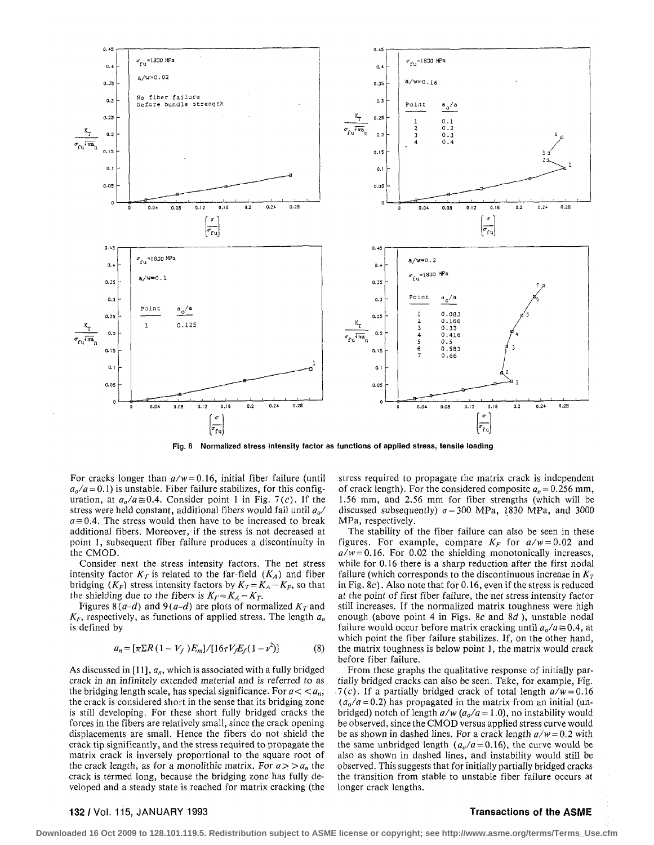

Fig. 8 Normalized stress intensity factor as functions of applied stress, tensile loading

For cracks longer than  $a/w = 0.16$ , initial fiber failure (until  $a_o/a = 0.1$ ) is unstable. Fiber failure stabilizes, for this configuration, at  $a_0/a \approx 0.4$ . Consider point 1 in Fig. 7(c). If the stress were held constant, additional fibers would fail until  $a_0$  $a \approx 0.4$ . The stress would then have to be increased to break additional fibers. Moreover, if the stress is not decreased at point 1, subsequent fiber failure produces a discontinuity in the CMOD.

Consider next the stress intensity factors. The net stress intensity factor  $K_T$  is related to the far-field  $(K_A)$  and fiber bridging  $(K_F)$  stress intensity factors by  $K_T = K_A - K_F$ , so that the shielding due to the fibers is  $K_F = K_A - K_T$ .

Figures 8(a-d) and 9(a-d) are plots of normalized  $K<sub>T</sub>$  and  $K_F$ , respectively, as functions of applied stress. The length  $a_n$ is defined by

$$
a_n = [\pi \Sigma R (1 - V_f) E_m] / [16\tau V_f E_f (1 - \nu^2)] \tag{8}
$$

As discussed in [11],  $a_n$ , which is associated with a fully bridged crack in an infinitely extended material and is referred to as the bridging length scale, has special significance. For  $a < a_n$ , the crack is considered short in the sense that its bridging zone is still developing. For these short fully bridged cracks the forces in the fibers are relatively small, since the crack opening displacements are small. Hence the fibers do not shield the crack tip significantly, and the stress required to propagate the matrix crack is inversely proportional to the square root of the crack length, as for a monolithic matrix. For  $a > a_n$  the crack is termed long, because the bridging zone has fully developed and a steady state is reached for matrix cracking (the

stress required to propagate the matrix crack is independent of crack length). For the considered composite  $a_n = 0.256$  mm, 1.56 mm, and 2.56 mm for fiber strengths (which will be discussed subsequently)  $\sigma = 300$  MPa, 1830 MPa, and 3000 MPa, respectively.

The stability of the fiber failure can also be seen in these figures. For example, compare  $K_F$  for  $a/w = 0.02$  and  $a/w = 0.16$ . For 0.02 the shielding monotonically increases, while for 0.16 there is a sharp reduction after the first nodal failure (which corresponds to the discontinuous increase in  $K<sub>T</sub>$ in Fig.  $8c$ ). Also note that for 0.16, even if the stress is reduced at the point of first fiber failure, the net stress intensity factor still increases. If the normalized matrix toughness were high enough (above point 4 in Figs. 8c and  $8d$ ), unstable nodal failure would occur before matrix cracking until  $a_0/a \approx 0.4$ , at which point the fiber failure stabilizes. If, on the other hand, the matrix toughness is below point 1, the matrix would crack before fiber failure.

From these graphs the qualitative response of initially partially bridged cracks can also be seen. Take, for example, Fig.  $\sqrt{7}(c)$ . If a partially bridged crack of total length  $a/w = 0.16$  $(a_0/a = 0.2)$  has propagated in the matrix from an initial (unbridged) notch of length  $a/w$  ( $a_o/a = 1.0$ ), no instability would be observed, since the CMOD versus applied stress curve would be as shown in dashed lines. For a crack length  $a/w = 0.2$  with the same unbridged length ( $a_o/a = 0.16$ ), the curve would be also as shown in dashed lines, and instability would still be observed. This suggests that for initially partially bridged cracks the transition from stable to unstable fiber failure occurs at longer crack lengths.

### 132 / Vol. 115, JANUARY 1993

# **Transactions of the ASME**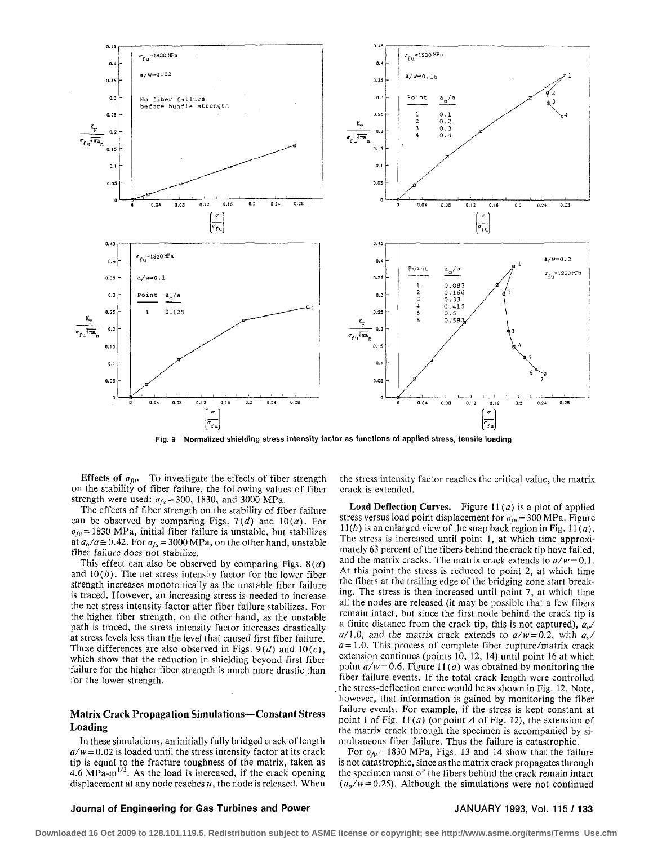

Fig. 9 Normalized shielding stress intensity factor as functions of applied stress, tensile loading

**Effects of**  $\sigma_{fu}$ **.** To investigate the effects of fiber strength on the stability of fiber failure, the following values of fiber strength were used:  $\sigma_{fu} = 300$ , 1830, and 3000 MPa.

The effects of fiber strength on the stability of fiber failure can be observed by comparing Figs. *1(d)* and 10(a). For  $\sigma_{f\mu}$  = 1830 MPa, initial fiber failure is unstable, but stabilizes at  $a_o/a \approx 0.42$ . For  $\sigma_{fu} = 3000$  MPa, on the other hand, unstable fiber failure does not stabilize.

This effect can also be observed by comparing Figs. *8(d)*  and  $10(b)$ . The net stress intensity factor for the lower fiber strength increases monotonically as the unstable fiber failure is traced. However, an increasing stress is needed to increase the net stress intensity factor after fiber failure stabilizes. For the higher fiber strength, on the other hand, as the unstable path is traced, the stress intensity factor increases drastically at stress levels less than the level that caused first fiber failure. These differences are also observed in Figs. *9(d)* and 10(c), which show that the reduction in shielding beyond first fiber failure for the higher fiber strength is much more drastic than for the lower strength.

# **Matrix Crack Propagation Simulations—Constant Stress Loading**

In these simulations, an initially fully bridged crack of length  $a/w = 0.02$  is loaded until the stress intensity factor at its crack tip is equal to the fracture toughness of the matrix, taken as  $4.6 \text{ MPa-m}^{1/2}$ . As the load is increased, if the crack opening displacement at any node reaches *u,* the node is released. When

the stress intensity factor reaches the critical value, the matrix crack is extended.

**Load Deflection Curves.** Figure  $11(a)$  is a plot of applied stress versus load point displacement for  $\sigma_{fu} = 300 \text{ MPa}$ . Figure 11*(b)* is an enlarged view of the snap back region in Fig. 11 $(a)$ . The stress is increased until point 1, at which time approximately 63 percent of the fibers behind the crack tip have failed, and the matrix cracks. The matrix crack extends to  $a/w = 0.1$ . At this point the stress is reduced to point 2, at which time the fibers at the trailing edge of the bridging zone start breaking. The stress is then increased until point 7, at which time all the nodes are released (it may be possible that a few fibers remain intact, but since the first node behind the crack tip is a finite distance from the crack tip, this is not captured), *a0/*   $a/1.0$ , and the matrix crack extends to  $a/w = 0.2$ , with  $a<sub>0</sub>/$  $a=1.0$ . This process of complete fiber rupture/matrix crack extension continues (points 10, 12, 14) until point 16 at which point *a/w = 0.6.* Figure *11(a)* was obtained by monitoring the fiber failure events. If the total crack length were controlled . the stress-deflection curve would be as shown in Fig. 12. Note, however, that information is gained by monitoring the fiber failure events. For example, if the stress is kept constant at point 1 of Fig. 11 *(a)* (or point *A* of Fig. 12), the extension of the matrix crack through the specimen is accompanied by simultaneous fiber failure. Thus the failure is catastrophic.

For  $\sigma_{f\mu}$  = 1830 MPa, Figs. 13 and 14 show that the failure is not catastrophic, since as the matrix crack propagates through the specimen most of the fibers behind the crack remain intact  $(a_0/w \approx 0.25)$ . Although the simulations were not continued

### **Journal of Engineering for Gas Turbines and Power** JANUARY 1993, Vol. 115 /**133**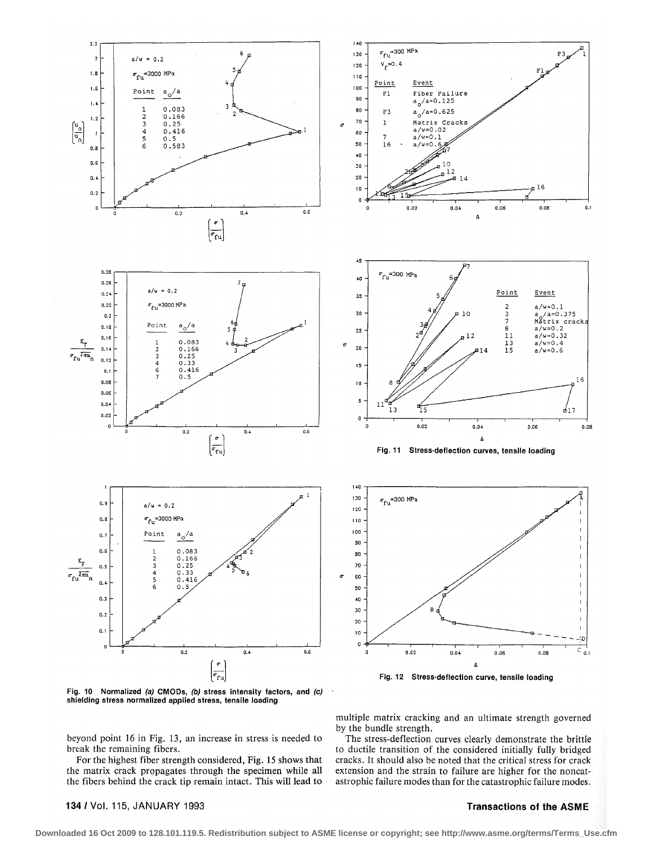

Fig. 10 Normalized (a) CMODs, (b) stress intensity factors, and (c) shielding stress normalized applied stress, tensile loading

multiple matrix cracking and an ultimate strength governed by the bundle strength.

The stress-deflection curves clearly demonstrate the brittle to ductile transition of the considered initially fully bridged cracks. It should also be noted that the critical stress for crack extension and the strain to failure are higher for the noncatastrophic failure modes than for the catastrophic failure modes.

beyond point 16 in Fig. 13, an increase in stress is needed to break the remaining fibers.

For the highest fiber strength considered, Fig. 15 shows that the matrix crack propagates through the specimen while all the fibers behind the crack tip remain intact. This will lead to

134 / Vol. 115, JANUARY 1993

# **Transactions of the ASME**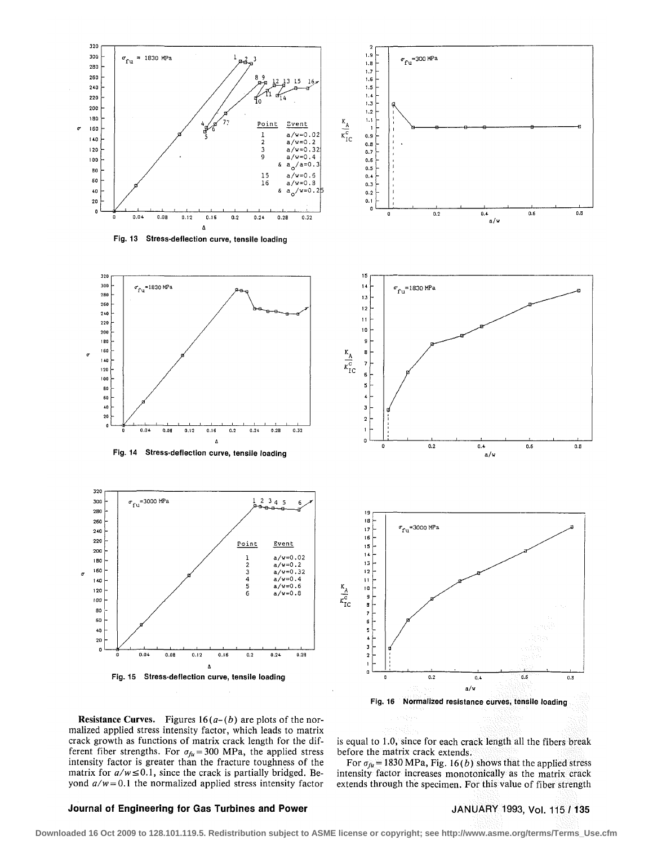

**Resistance Curves.** Figures  $16(a-(b))$  are plots of the normalized applied stress intensity factor, which leads to matrix crack growth as functions of matrix crack length for the different fiber strengths. For  $\sigma_{fu} = 300$  MPa, the applied stress intensity factor is greater than the fracture toughness of the matrix for  $a/w \le 0.1$ , since the crack is partially bridged. Beyond  $a/w = 0.1$  the normalized applied stress intensity factor

is equal to 1.0, since for each crack length all the fibers break before the matrix crack extends.

For  $\sigma_{fu}$  = 1830 MPa, Fig. 16(b) shows that the applied stress intensity factor increases monotonicaliy as the matrix crack extends through the specimen. For this value of fiber strength

# **Journal of Engineering for Gas Turbines and Power <br>
JANUARY 1993, Vol. 115 / 135**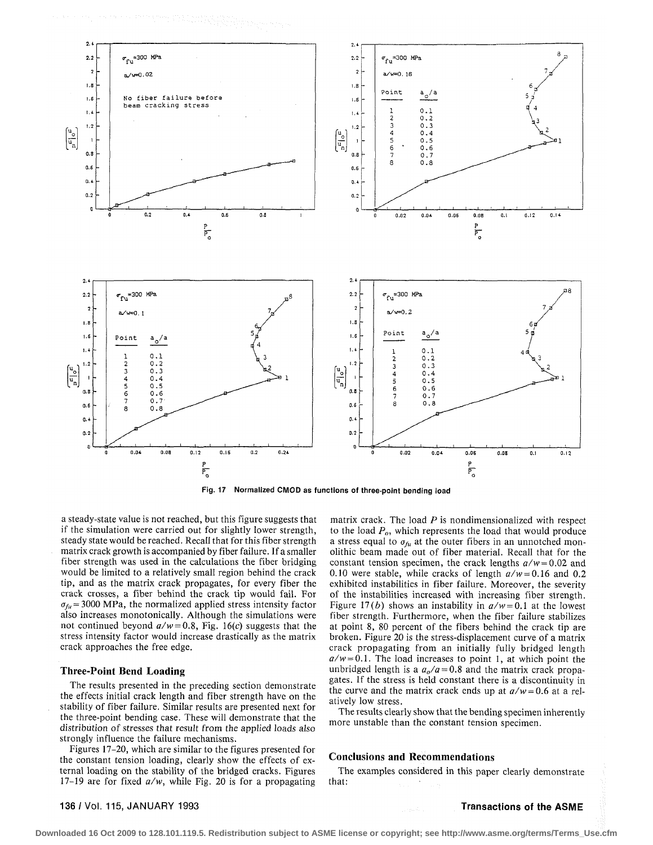

Fig. 17 Normalized CMOD as functions of three-point bending load

a steady-state value is not reached, but this figure suggests that if the simulation were carried out for slightly lower strength, steady state would be reached. Recall that for this fiber strength matrix crack growth is accompanied by fiber failure. If a smaller fiber strength was used in the calculations the fiber bridging would be limited to a relatively small region behind the crack tip, and as the matrix crack propagates, for every fiber the crack crosses, a fiber behind the crack tip would fail. For  $\sigma_{\hat{n}l}$  = 3000 MPa, the normalized applied stress intensity factor also increases monotonically. Although the simulations were not continued beyond  $a/w = 0.8$ , Fig. 16(c) suggests that the stress intensity factor would increase drastically as the matrix crack approaches the free edge.

# **Three-Point Bend Loading**

The results presented in the preceding section demonstrate the effects initial crack length and fiber strength have on the stability of fiber failure. Similar results are presented next for the three-point bending case. These will demonstrate that the distribution of stresses that result from the applied loads also strongly influence the failure mechanisms.

Figures 17–20, which are similar to the figures presented for the constant tension loading, clearly show the effects of external loading on the stability of the bridged cracks. Figures 17-19 are for fixed  $a/w$ , while Fig. 20 is for a propagating

matrix crack. The load  $P$  is nondimensionalized with respect to the load  $P<sub>o</sub>$ , which represents the load that would produce a stress equal to  $\sigma_{fu}$  at the outer fibers in an unnotched monolithic beam made out of fiber material. Recall that for the constant tension specimen, the crack lengths  $a/w = 0.02$  and 0.10 were stable, while cracks of length  $a/w = 0.16$  and 0.2 exhibited instabilities in fiber failure. Moreover, the severity of the instabilities increased with increasing fiber strength. Figure 17(b) shows an instability in  $a/w = 0.1$  at the lowest fiber strength. Furthermore, when the fiber failure stabilizes at point 8, 80 percent of the fibers behind the crack tip are broken. Figure 20 is the stress-displacement curve of a matrix crack propagating from an initially fully bridged length  $a/w = 0.1$ . The load increases to point 1, at which point the unbridged length is a  $a_0/a = 0.8$  and the matrix crack propagates. If the stress is held constant there is a discontinuity in the curve and the matrix crack ends up at  $a/w = 0.6$  at a relatively low stress.

The results clearly show that the bending specimen inherently more unstable than the constant tension specimen.

### **Conclusions and Recommendations**

The examples considered in this paper clearly demonstrate that:

136 / Vol. 115, JANUARY 1993

**Transactions of the ASME**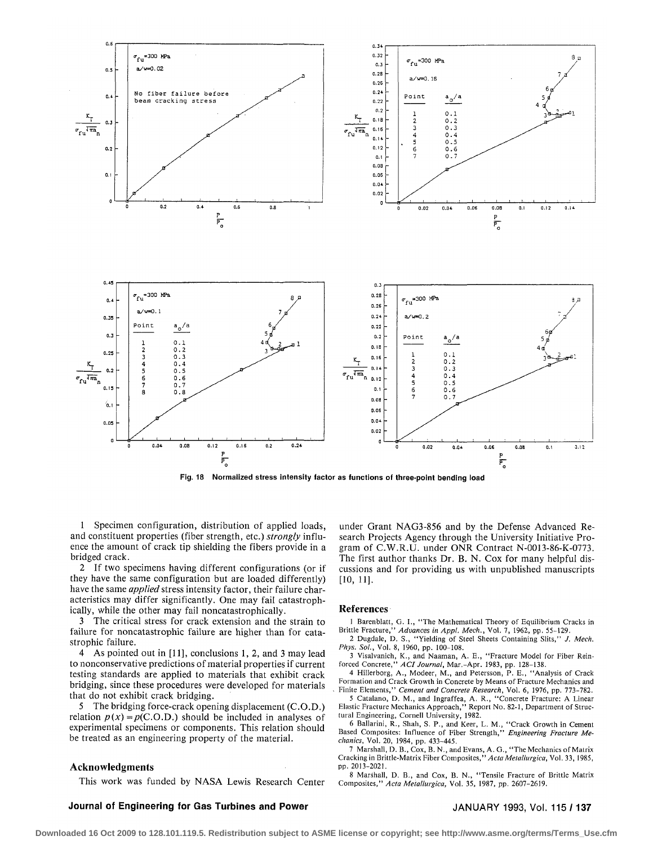

**Fig. 18 Normalized stress intensity factor as functions of three-point bending load** 

1 Specimen configuration, distribution of applied loads, and constituent properties (fiber strength, etc.) *strongly* influence the amount of crack tip shielding the fibers provide in a bridged crack.

2 If two specimens having different configurations (or if they have the same configuration but are loaded differently) have the same *applied* stress intensity factor, their failure characteristics may differ significantly. One may fail catastrophically, while the other may fail noncatastrophically.

3 The critical stress for crack extension and the strain to failure for noncatastrophic failure are higher than for catastrophic failure.

4 As pointed out in [11], conclusions 1, 2, and 3 may lead to nonconservative predictions of material properties if current testing standards are applied to materials that exhibit crack bridging, since these procedures were developed for materials that do not exhibit crack bridging.

5 The bridging force-crack opening displacement (C.O.D.) relation  $p(x) = p(C.O.D.)$  should be included in analyses of experimental specimens or components. This relation should be treated as an engineering property of the material.

# **Acknowledgments**

This work was funded by NASA Lewis Research Center

**Journal of Engineering for Gas Turbines and Power** 

under Grant NAG3-856 and by the Defense Advanced Research Projects Agency through the University Initiative Program of C.W.R.U. under ONR Contract N-0013-86-K-0773. The first author thanks Dr. B. N. Cox for many helpful discussions and for providing us with unpublished manuscripts **[10,11].** 

### **References**

1 Barenblatt, G. I., "The Mathematical Theory of Equilibrium Cracks in Brittle Fracture," *Advances in Appl. Mech.,* Vol. 7, 1962, pp. 55-129.

2 Dugdale, D. S., "Yielding of Steel Sheets Containing Slits," *J. Mech. Phys. Sol.,* Vol. 8, 1960, pp. 100-108.

3 Visalvanich, K., and Naaman, A. E., "Fracture Model for Fiber Rein-forced Concrete," *Adjournal,* Mar.-Apr. 1983, pp. 128-138.

4 Hillerborg, A., Modeer, M., and Petersson, P. E., "Analysis of Crack Formation and Crack Growth in Concrete by Means of Fracture Mechanics and Finite Elements," *Cement and Concrete Research,* Vol. 6, 1976, pp. 773-782.

5 Catalano, D. M., and Ingraffea, A. R., "Concrete Fracture: A Linear Elastic Fracture Mechanics Approach," Report No. 82-1, Department of Structural Engineering, Cornell University, 1982.

6 Ballarini, R., Shah, S. P., and Keer, L. M., "Crack Growth in Cement Based Composites: Influence of Fiber Strength," *Engineering Fracture Mechanics,* Vol. 20, 1984, pp. 433-445.

7 Marshall, D. B., Cox, B. N., and Evans, A. G., "The Mechanics of Matrix Cracking in Brittle-Matrix Fiber Composites,'' *A eta Metallurgica,* Vol.33,1985, pp. 2013-2021.

8 Marshall, D. B., and Cox, B. N., "Tensile Fracture of Brittle Matrix Composites," *Acta Metallurgica,* Vol. 35, 1987, pp. 2607-2619.

# JANUARY 1993, Vol. 115 /**137**